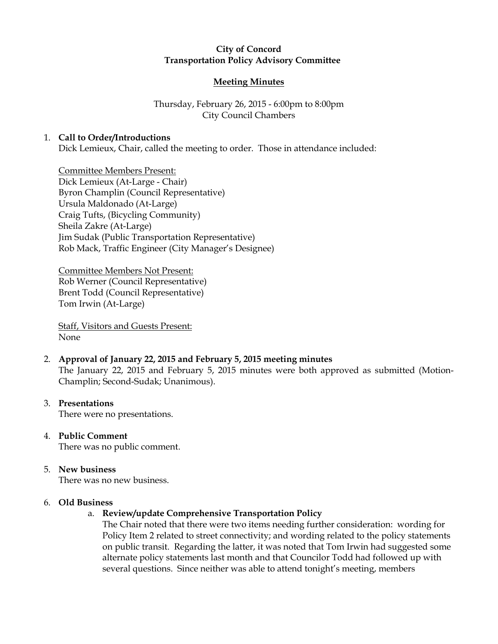# City of Concord Transportation Policy Advisory Committee

# Meeting Minutes

# Thursday, February 26, 2015 - 6:00pm to 8:00pm City Council Chambers

### 1. Call to Order/Introductions

Dick Lemieux, Chair, called the meeting to order. Those in attendance included:

Committee Members Present: Dick Lemieux (At-Large - Chair) Byron Champlin (Council Representative) Ursula Maldonado (At-Large) Craig Tufts, (Bicycling Community) Sheila Zakre (At-Large) Jim Sudak (Public Transportation Representative) Rob Mack, Traffic Engineer (City Manager's Designee)

Committee Members Not Present: Rob Werner (Council Representative) Brent Todd (Council Representative) Tom Irwin (At-Large)

Staff, Visitors and Guests Present: None

### 2. Approval of January 22, 2015 and February 5, 2015 meeting minutes The January 22, 2015 and February 5, 2015 minutes were both approved as submitted (Motion-Champlin; Second-Sudak; Unanimous).

#### 3. Presentations

There were no presentations.

4. Public Comment There was no public comment.

# 5. New business

There was no new business.

#### 6. Old Business

#### a. Review/update Comprehensive Transportation Policy

The Chair noted that there were two items needing further consideration: wording for Policy Item 2 related to street connectivity; and wording related to the policy statements on public transit. Regarding the latter, it was noted that Tom Irwin had suggested some alternate policy statements last month and that Councilor Todd had followed up with several questions. Since neither was able to attend tonight's meeting, members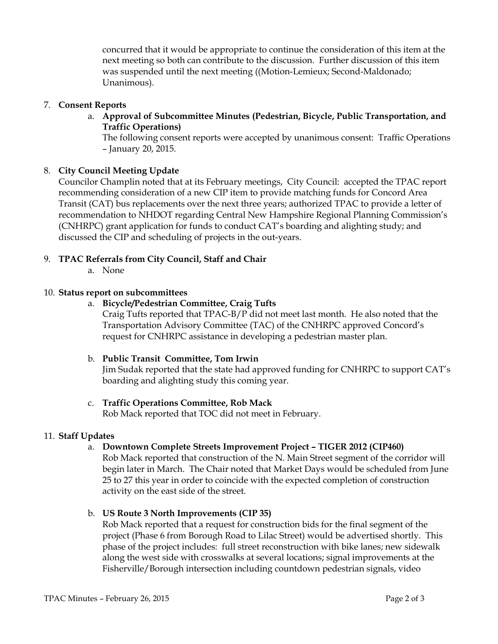concurred that it would be appropriate to continue the consideration of this item at the next meeting so both can contribute to the discussion. Further discussion of this item was suspended until the next meeting ((Motion-Lemieux; Second-Maldonado; Unanimous).

### 7. Consent Reports

a. Approval of Subcommittee Minutes (Pedestrian, Bicycle, Public Transportation, and Traffic Operations)

The following consent reports were accepted by unanimous consent: Traffic Operations – January 20, 2015.

### 8. City Council Meeting Update

Councilor Champlin noted that at its February meetings, City Council: accepted the TPAC report recommending consideration of a new CIP item to provide matching funds for Concord Area Transit (CAT) bus replacements over the next three years; authorized TPAC to provide a letter of recommendation to NHDOT regarding Central New Hampshire Regional Planning Commission's (CNHRPC) grant application for funds to conduct CAT's boarding and alighting study; and discussed the CIP and scheduling of projects in the out-years.

# 9. TPAC Referrals from City Council, Staff and Chair

a. None

### 10. Status report on subcommittees

### a. Bicycle/Pedestrian Committee, Craig Tufts

Craig Tufts reported that TPAC-B/P did not meet last month. He also noted that the Transportation Advisory Committee (TAC) of the CNHRPC approved Concord's request for CNHRPC assistance in developing a pedestrian master plan.

#### b. Public Transit Committee, Tom Irwin

Jim Sudak reported that the state had approved funding for CNHRPC to support CAT's boarding and alighting study this coming year.

# c. Traffic Operations Committee, Rob Mack

Rob Mack reported that TOC did not meet in February.

#### 11. Staff Updates

# a. Downtown Complete Streets Improvement Project – TIGER 2012 (CIP460)

Rob Mack reported that construction of the N. Main Street segment of the corridor will begin later in March. The Chair noted that Market Days would be scheduled from June 25 to 27 this year in order to coincide with the expected completion of construction activity on the east side of the street.

b. US Route 3 North Improvements (CIP 35)

Rob Mack reported that a request for construction bids for the final segment of the project (Phase 6 from Borough Road to Lilac Street) would be advertised shortly. This phase of the project includes: full street reconstruction with bike lanes; new sidewalk along the west side with crosswalks at several locations; signal improvements at the Fisherville/Borough intersection including countdown pedestrian signals, video